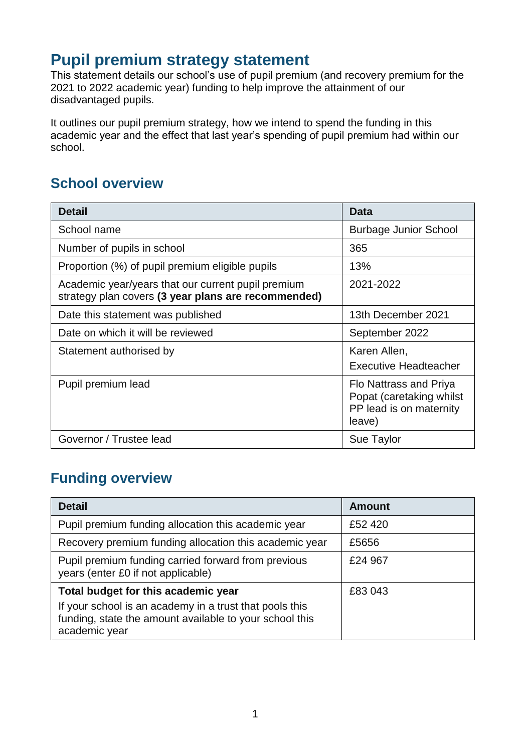## **Pupil premium strategy statement**

This statement details our school's use of pupil premium (and recovery premium for the 2021 to 2022 academic year) funding to help improve the attainment of our disadvantaged pupils.

It outlines our pupil premium strategy, how we intend to spend the funding in this academic year and the effect that last year's spending of pupil premium had within our school.

## **School overview**

| <b>Detail</b>                                                                                             | <b>Data</b>                                                                             |
|-----------------------------------------------------------------------------------------------------------|-----------------------------------------------------------------------------------------|
| School name                                                                                               | <b>Burbage Junior School</b>                                                            |
| Number of pupils in school                                                                                | 365                                                                                     |
| Proportion (%) of pupil premium eligible pupils                                                           | 13%                                                                                     |
| Academic year/years that our current pupil premium<br>strategy plan covers (3 year plans are recommended) | 2021-2022                                                                               |
| Date this statement was published                                                                         | 13th December 2021                                                                      |
| Date on which it will be reviewed                                                                         | September 2022                                                                          |
| Statement authorised by                                                                                   | Karen Allen,<br><b>Executive Headteacher</b>                                            |
| Pupil premium lead                                                                                        | Flo Nattrass and Priya<br>Popat (caretaking whilst<br>PP lead is on maternity<br>leave) |
| Governor / Trustee lead                                                                                   | Sue Taylor                                                                              |

## **Funding overview**

| <b>Detail</b>                                                                                                                       | <b>Amount</b> |
|-------------------------------------------------------------------------------------------------------------------------------------|---------------|
| Pupil premium funding allocation this academic year                                                                                 | £52 420       |
| Recovery premium funding allocation this academic year                                                                              | £5656         |
| Pupil premium funding carried forward from previous<br>years (enter £0 if not applicable)                                           | £24 967       |
| Total budget for this academic year                                                                                                 | £83 043       |
| If your school is an academy in a trust that pools this<br>funding, state the amount available to your school this<br>academic year |               |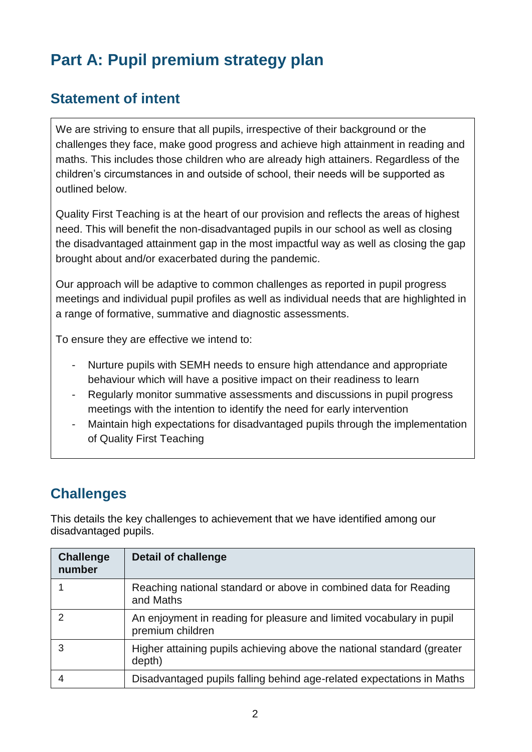# **Part A: Pupil premium strategy plan**

## **Statement of intent**

We are striving to ensure that all pupils, irrespective of their background or the challenges they face, make good progress and achieve high attainment in reading and maths. This includes those children who are already high attainers. Regardless of the children's circumstances in and outside of school, their needs will be supported as outlined below.

Quality First Teaching is at the heart of our provision and reflects the areas of highest need. This will benefit the non-disadvantaged pupils in our school as well as closing the disadvantaged attainment gap in the most impactful way as well as closing the gap brought about and/or exacerbated during the pandemic.

Our approach will be adaptive to common challenges as reported in pupil progress meetings and individual pupil profiles as well as individual needs that are highlighted in a range of formative, summative and diagnostic assessments.

To ensure they are effective we intend to:

- Nurture pupils with SEMH needs to ensure high attendance and appropriate behaviour which will have a positive impact on their readiness to learn
- Regularly monitor summative assessments and discussions in pupil progress meetings with the intention to identify the need for early intervention
- Maintain high expectations for disadvantaged pupils through the implementation of Quality First Teaching

## **Challenges**

This details the key challenges to achievement that we have identified among our disadvantaged pupils.

| <b>Challenge</b><br>number | <b>Detail of challenge</b>                                                               |
|----------------------------|------------------------------------------------------------------------------------------|
|                            | Reaching national standard or above in combined data for Reading<br>and Maths            |
|                            | An enjoyment in reading for pleasure and limited vocabulary in pupil<br>premium children |
| 3                          | Higher attaining pupils achieving above the national standard (greater<br>depth)         |
|                            | Disadvantaged pupils falling behind age-related expectations in Maths                    |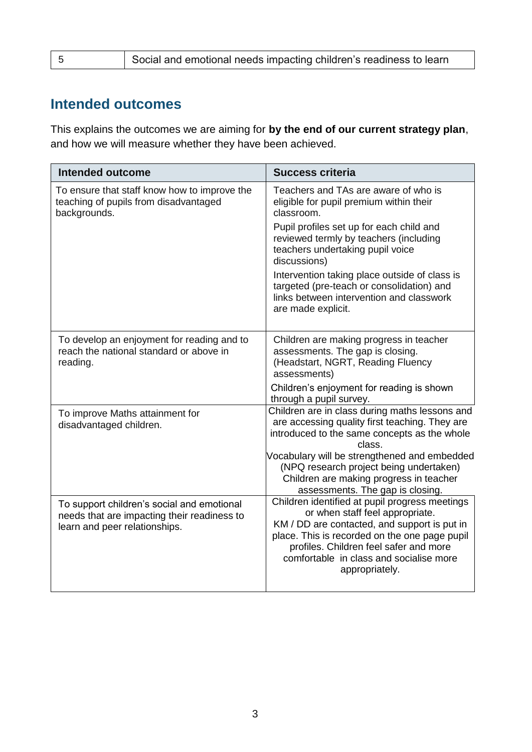## **Intended outcomes**

This explains the outcomes we are aiming for **by the end of our current strategy plan**, and how we will measure whether they have been achieved.

| <b>Intended outcome</b>                                                                                                    | <b>Success criteria</b>                                                                                                                                                                                                                                                                   |
|----------------------------------------------------------------------------------------------------------------------------|-------------------------------------------------------------------------------------------------------------------------------------------------------------------------------------------------------------------------------------------------------------------------------------------|
| To ensure that staff know how to improve the<br>teaching of pupils from disadvantaged<br>backgrounds.                      | Teachers and TAs are aware of who is<br>eligible for pupil premium within their<br>classroom.                                                                                                                                                                                             |
|                                                                                                                            | Pupil profiles set up for each child and<br>reviewed termly by teachers (including<br>teachers undertaking pupil voice<br>discussions)                                                                                                                                                    |
|                                                                                                                            | Intervention taking place outside of class is<br>targeted (pre-teach or consolidation) and<br>links between intervention and classwork<br>are made explicit.                                                                                                                              |
| To develop an enjoyment for reading and to<br>reach the national standard or above in<br>reading.                          | Children are making progress in teacher<br>assessments. The gap is closing.<br>(Headstart, NGRT, Reading Fluency<br>assessments)                                                                                                                                                          |
|                                                                                                                            | Children's enjoyment for reading is shown<br>through a pupil survey.                                                                                                                                                                                                                      |
| To improve Maths attainment for<br>disadvantaged children.                                                                 | Children are in class during maths lessons and<br>are accessing quality first teaching. They are<br>introduced to the same concepts as the whole<br>class.                                                                                                                                |
|                                                                                                                            | Vocabulary will be strengthened and embedded<br>(NPQ research project being undertaken)<br>Children are making progress in teacher<br>assessments. The gap is closing.                                                                                                                    |
| To support children's social and emotional<br>needs that are impacting their readiness to<br>learn and peer relationships. | Children identified at pupil progress meetings<br>or when staff feel appropriate.<br>KM / DD are contacted, and support is put in<br>place. This is recorded on the one page pupil<br>profiles. Children feel safer and more<br>comfortable in class and socialise more<br>appropriately. |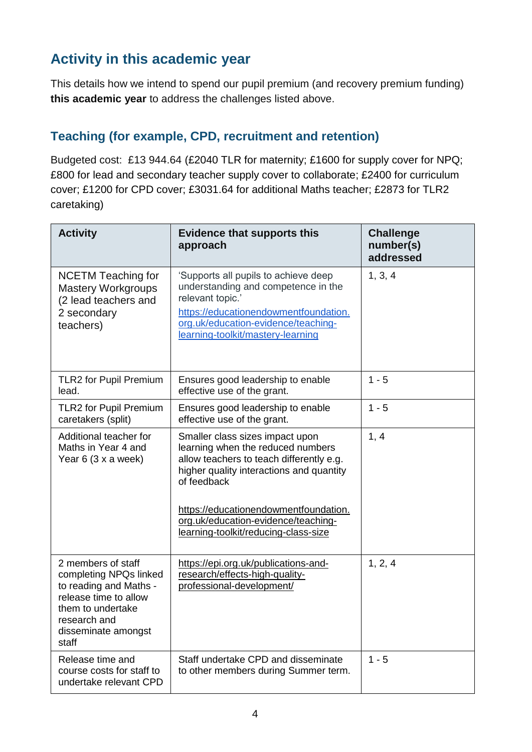## **Activity in this academic year**

This details how we intend to spend our pupil premium (and recovery premium funding) **this academic year** to address the challenges listed above.

#### **Teaching (for example, CPD, recruitment and retention)**

Budgeted cost: £13 944.64 (£2040 TLR for maternity; £1600 for supply cover for NPQ; £800 for lead and secondary teacher supply cover to collaborate; £2400 for curriculum cover; £1200 for CPD cover; £3031.64 for additional Maths teacher; £2873 for TLR2 caretaking)

| <b>Activity</b>                                                                                                                                                      | <b>Evidence that supports this</b><br>approach                                                                                                                                                                                                                                                      | <b>Challenge</b><br>number(s)<br>addressed |
|----------------------------------------------------------------------------------------------------------------------------------------------------------------------|-----------------------------------------------------------------------------------------------------------------------------------------------------------------------------------------------------------------------------------------------------------------------------------------------------|--------------------------------------------|
| <b>NCETM Teaching for</b><br><b>Mastery Workgroups</b><br>(2 lead teachers and<br>2 secondary<br>teachers)                                                           | 'Supports all pupils to achieve deep<br>understanding and competence in the<br>relevant topic.'<br>https://educationendowmentfoundation.<br>org.uk/education-evidence/teaching-<br>learning-toolkit/mastery-learning                                                                                | 1, 3, 4                                    |
| TLR2 for Pupil Premium<br>lead.                                                                                                                                      | Ensures good leadership to enable<br>effective use of the grant.                                                                                                                                                                                                                                    | $1 - 5$                                    |
| <b>TLR2 for Pupil Premium</b><br>caretakers (split)                                                                                                                  | Ensures good leadership to enable<br>effective use of the grant.                                                                                                                                                                                                                                    | $1 - 5$                                    |
| Additional teacher for<br>Maths in Year 4 and<br>Year 6 (3 x a week)                                                                                                 | Smaller class sizes impact upon<br>learning when the reduced numbers<br>allow teachers to teach differently e.g.<br>higher quality interactions and quantity<br>of feedback<br>https://educationendowmentfoundation.<br>org.uk/education-evidence/teaching-<br>learning-toolkit/reducing-class-size | 1, 4                                       |
| 2 members of staff<br>completing NPQs linked<br>to reading and Maths -<br>release time to allow<br>them to undertake<br>research and<br>disseminate amongst<br>staff | https://epi.org.uk/publications-and-<br>research/effects-high-quality-<br>professional-development/                                                                                                                                                                                                 | 1, 2, 4                                    |
| Release time and<br>course costs for staff to<br>undertake relevant CPD                                                                                              | Staff undertake CPD and disseminate<br>to other members during Summer term.                                                                                                                                                                                                                         | $1 - 5$                                    |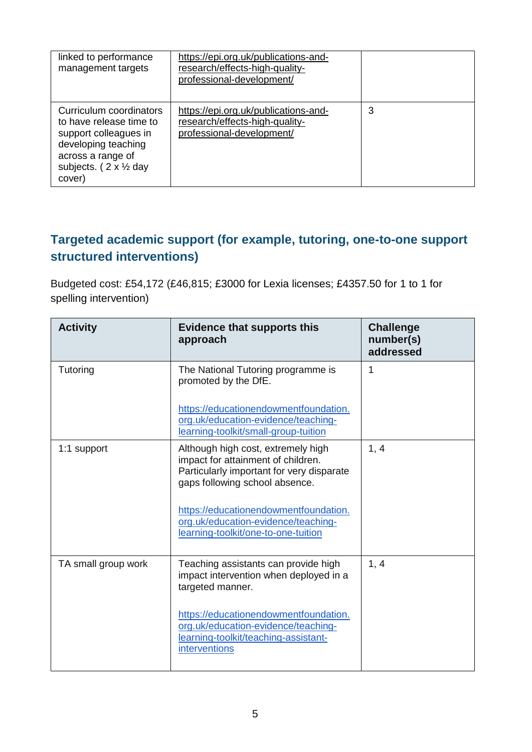| linked to performance<br>management targets                                                                                                                                 | https://epi.org.uk/publications-and-<br>research/effects-high-quality-<br>professional-development/ |   |
|-----------------------------------------------------------------------------------------------------------------------------------------------------------------------------|-----------------------------------------------------------------------------------------------------|---|
| Curriculum coordinators<br>to have release time to<br>support colleagues in<br>developing teaching<br>across a range of<br>subjects. $(2 \times \frac{1}{2})$ day<br>cover) | https://epi.org.uk/publications-and-<br>research/effects-high-quality-<br>professional-development/ | 3 |

#### **Targeted academic support (for example, tutoring, one-to-one support structured interventions)**

Budgeted cost: £54,172 (£46,815; £3000 for Lexia licenses; £4357.50 for 1 to 1 for spelling intervention)

| <b>Activity</b>     | <b>Evidence that supports this</b><br>approach                                                                                                          | <b>Challenge</b><br>number(s)<br>addressed |
|---------------------|---------------------------------------------------------------------------------------------------------------------------------------------------------|--------------------------------------------|
| Tutoring            | The National Tutoring programme is<br>promoted by the DfE.                                                                                              | 1                                          |
|                     | https://educationendowmentfoundation.<br>org.uk/education-evidence/teaching-<br>learning-toolkit/small-group-tuition                                    |                                            |
| 1:1 support         | Although high cost, extremely high<br>impact for attainment of children.<br>Particularly important for very disparate<br>gaps following school absence. | 1, 4                                       |
|                     | https://educationendowmentfoundation.<br>org.uk/education-evidence/teaching-<br>learning-toolkit/one-to-one-tuition                                     |                                            |
| TA small group work | Teaching assistants can provide high<br>impact intervention when deployed in a<br>targeted manner.                                                      | 1, 4                                       |
|                     | https://educationendowmentfoundation.<br>org.uk/education-evidence/teaching-<br>learning-toolkit/teaching-assistant-<br><i>interventions</i>            |                                            |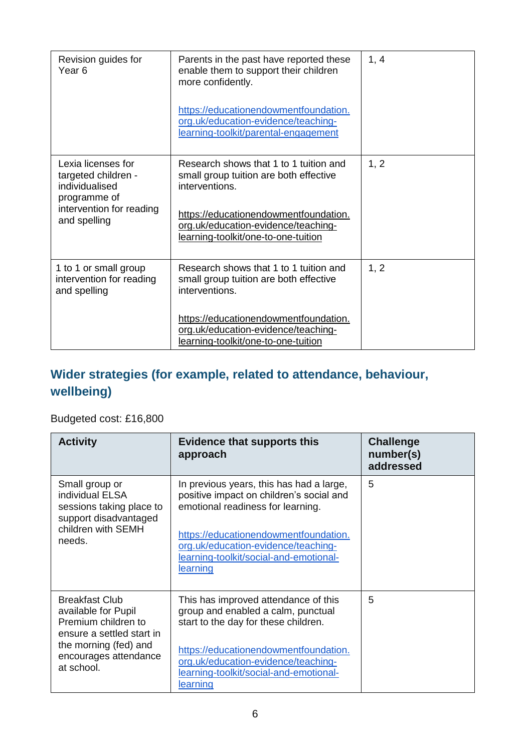| Revision guides for<br>Year <sub>6</sub>                                                                                | Parents in the past have reported these<br>enable them to support their children<br>more confidently.<br>https://educationendowmentfoundation.<br>org.uk/education-evidence/teaching-<br>learning-toolkit/parental-engagement | 1, 4 |
|-------------------------------------------------------------------------------------------------------------------------|-------------------------------------------------------------------------------------------------------------------------------------------------------------------------------------------------------------------------------|------|
| Lexia licenses for<br>targeted children -<br>individualised<br>programme of<br>intervention for reading<br>and spelling | Research shows that 1 to 1 tuition and<br>small group tuition are both effective<br>interventions.<br>https://educationendowmentfoundation.<br>org.uk/education-evidence/teaching-<br>learning-toolkit/one-to-one-tuition     | 1, 2 |
| 1 to 1 or small group<br>intervention for reading<br>and spelling                                                       | Research shows that 1 to 1 tuition and<br>small group tuition are both effective<br>interventions.<br>https://educationendowmentfoundation.<br>org.uk/education-evidence/teaching-<br>learning-toolkit/one-to-one-tuition     | 1, 2 |

## **Wider strategies (for example, related to attendance, behaviour, wellbeing)**

Budgeted cost: £16,800

| <b>Activity</b>                                                                                                                                                  | <b>Evidence that supports this</b><br>approach                                                                                                                                                                                                                         | <b>Challenge</b><br>number(s)<br>addressed |
|------------------------------------------------------------------------------------------------------------------------------------------------------------------|------------------------------------------------------------------------------------------------------------------------------------------------------------------------------------------------------------------------------------------------------------------------|--------------------------------------------|
| Small group or<br>individual ELSA<br>sessions taking place to<br>support disadvantaged<br>children with SEMH<br>needs.                                           | In previous years, this has had a large,<br>positive impact on children's social and<br>emotional readiness for learning.<br>https://educationendowmentfoundation.<br>org.uk/education-evidence/teaching-<br>learning-toolkit/social-and-emotional-<br><u>learning</u> | 5                                          |
| <b>Breakfast Club</b><br>available for Pupil<br>Premium children to<br>ensure a settled start in<br>the morning (fed) and<br>encourages attendance<br>at school. | This has improved attendance of this<br>group and enabled a calm, punctual<br>start to the day for these children.<br>https://educationendowmentfoundation.<br>org.uk/education-evidence/teaching-<br>learning-toolkit/social-and-emotional-<br>learning               | 5                                          |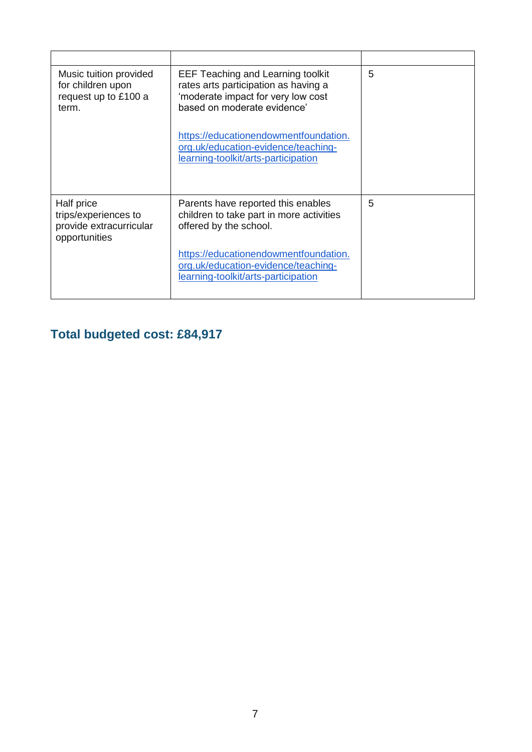| Music tuition provided<br>for children upon<br>request up to £100 a<br>term.   | <b>EEF Teaching and Learning toolkit</b><br>rates arts participation as having a<br>'moderate impact for very low cost<br>based on moderate evidence' | 5 |
|--------------------------------------------------------------------------------|-------------------------------------------------------------------------------------------------------------------------------------------------------|---|
|                                                                                | https://educationendowmentfoundation.<br>org.uk/education-evidence/teaching-<br>learning-toolkit/arts-participation                                   |   |
| Half price<br>trips/experiences to<br>provide extracurricular<br>opportunities | Parents have reported this enables<br>children to take part in more activities<br>offered by the school.                                              | 5 |
|                                                                                | https://educationendowmentfoundation.<br>org.uk/education-evidence/teaching-<br>learning-toolkit/arts-participation                                   |   |

## **Total budgeted cost: £84,917**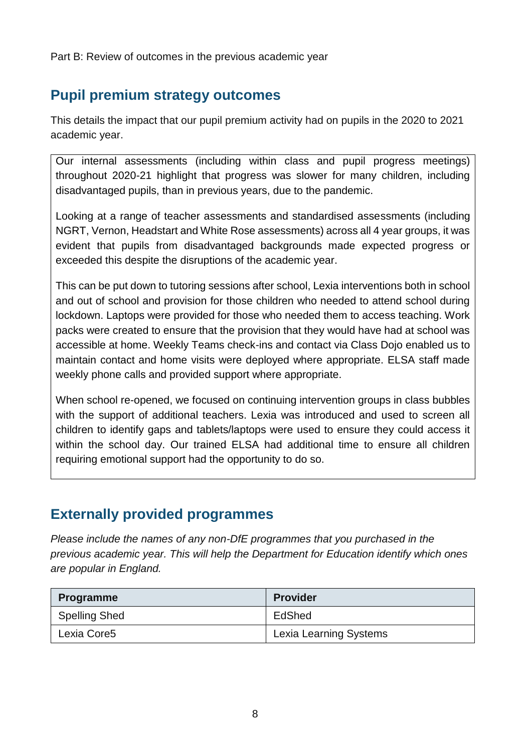Part B: Review of outcomes in the previous academic year

## **Pupil premium strategy outcomes**

This details the impact that our pupil premium activity had on pupils in the 2020 to 2021 academic year.

Our internal assessments (including within class and pupil progress meetings) throughout 2020-21 highlight that progress was slower for many children, including disadvantaged pupils, than in previous years, due to the pandemic.

Looking at a range of teacher assessments and standardised assessments (including NGRT, Vernon, Headstart and White Rose assessments) across all 4 year groups, it was evident that pupils from disadvantaged backgrounds made expected progress or exceeded this despite the disruptions of the academic year.

This can be put down to tutoring sessions after school, Lexia interventions both in school and out of school and provision for those children who needed to attend school during lockdown. Laptops were provided for those who needed them to access teaching. Work packs were created to ensure that the provision that they would have had at school was accessible at home. Weekly Teams check-ins and contact via Class Dojo enabled us to maintain contact and home visits were deployed where appropriate. ELSA staff made weekly phone calls and provided support where appropriate.

When school re-opened, we focused on continuing intervention groups in class bubbles with the support of additional teachers. Lexia was introduced and used to screen all children to identify gaps and tablets/laptops were used to ensure they could access it within the school day. Our trained ELSA had additional time to ensure all children requiring emotional support had the opportunity to do so.

### **Externally provided programmes**

*Please include the names of any non-DfE programmes that you purchased in the previous academic year. This will help the Department for Education identify which ones are popular in England.*

| Programme            | <b>Provider</b>               |
|----------------------|-------------------------------|
| <b>Spelling Shed</b> | EdShed                        |
| Lexia Core5          | <b>Lexia Learning Systems</b> |